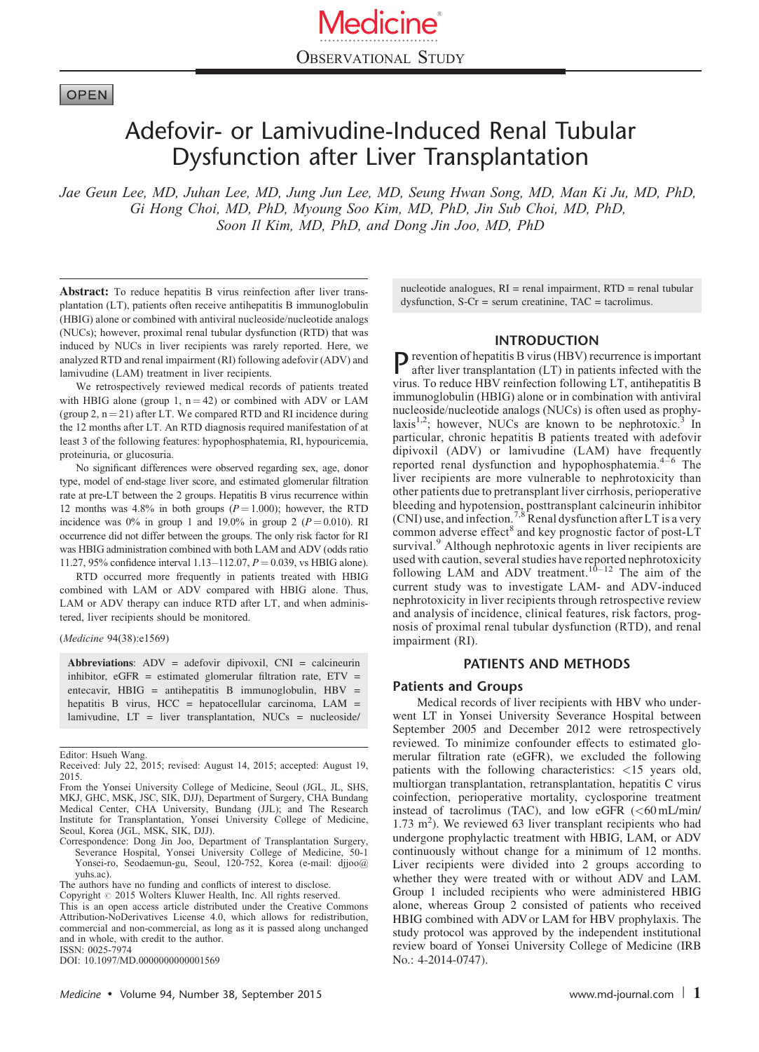# **OPEN**

# Adefovir- or Lamivudine-Induced Renal Tubular Dysfunction after Liver Transplantation

Jae Geun Lee, MD, Juhan Lee, MD, Jung Jun Lee, MD, Seung Hwan Song, MD, Man Ki Ju, MD, PhD, Gi Hong Choi, MD, PhD, Myoung Soo Kim, MD, PhD, Jin Sub Choi, MD, PhD, Soon Il Kim, MD, PhD, and Dong Jin Joo, MD, PhD

Abstract: To reduce hepatitis B virus reinfection after liver transplantation (LT), patients often receive antihepatitis B immunoglobulin (HBIG) alone or combined with antiviral nucleoside/nucleotide analogs (NUCs); however, proximal renal tubular dysfunction (RTD) that was induced by NUCs in liver recipients was rarely reported. Here, we analyzed RTD and renal impairment (RI) following adefovir (ADV) and lamivudine (LAM) treatment in liver recipients.

We retrospectively reviewed medical records of patients treated with HBIG alone (group 1,  $n = 42$ ) or combined with ADV or LAM (group 2,  $n = 21$ ) after LT. We compared RTD and RI incidence during the 12 months after LT. An RTD diagnosis required manifestation of at least 3 of the following features: hypophosphatemia, RI, hypouricemia, proteinuria, or glucosuria.

No significant differences were observed regarding sex, age, donor type, model of end-stage liver score, and estimated glomerular filtration rate at pre-LT between the 2 groups. Hepatitis B virus recurrence within 12 months was 4.8% in both groups  $(P = 1.000)$ ; however, the RTD incidence was 0% in group 1 and 19.0% in group 2 ( $P = 0.010$ ). RI occurrence did not differ between the groups. The only risk factor for RI was HBIG administration combined with both LAM and ADV (odds ratio 11.27, 95% confidence interval 1.13–112.07,  $P = 0.039$ , vs HBIG alone).

RTD occurred more frequently in patients treated with HBIG combined with LAM or ADV compared with HBIG alone. Thus, LAM or ADV therapy can induce RTD after LT, and when administered, liver recipients should be monitored.

(Medicine 94(38):e1569)

Abbreviations: ADV = adefovir dipivoxil, CNI = calcineurin inhibitor,  $eGFR$  = estimated glomerular filtration rate,  $ETV$  = entecavir, HBIG = antihepatitis B immunoglobulin, HBV = hepatitis B virus, HCC = hepatocellular carcinoma, LAM = lamivudine, LT = liver transplantation, NUCs = nucleoside/

Correspondence: Dong Jin Joo, Department of Transplantation Surgery, Severance Hospital, Yonsei University College of Medicine, 50-1 Yonsei-ro, Seodaemun-gu, Seoul, 120-752, Korea (e-mail: [djjoo@](mailto:djjoo@yuhs.ac) [yuhs.ac\)](mailto:djjoo@yuhs.ac).

Copyright © 2015 Wolters Kluwer Health, Inc. All rights reserved. This is an open access article distributed under the Creative Commons Attribution-NoDerivatives License 4.0, which allows for redistribution, commercial and non-commercial, as long as it is passed along unchanged and in whole, with credit to the author. ISSN: 0025-7974

DOI: [10.1097/MD.0000000000001569](http://dx.doi.org/10.1097/MD.0000000000001569)

nucleotide analogues,  $RI =$  renal impairment,  $RTD =$  renal tubular dysfunction,  $S-Cr =$  serum creatinine,  $TAC =$  tacrolimus.

#### INTRODUCTION

 $\sum$  revention of hepatitis B virus (HBV) recurrence is important after liver transplantation (LT) in patients infected with the virus. To reduce HBV reinfection following LT, antihepatitis B immunoglobulin (HBIG) alone or in combination with antiviral nucleoside/nucleotide analogs (NUCs) is often used as prophy-laxis<sup>[1,2](#page-4-0)</sup>; however, NUCs are known to be nephrotoxic.<sup>[3](#page-4-0)</sup> In particular, chronic hepatitis B patients treated with adefovir dipivoxil (ADV) or lamivudine (LAM) have frequently reported renal dysfunction and hypophosphatemia. $4-6$  The liver recipients are more vulnerable to nephrotoxicity than other patients due to pretransplant liver cirrhosis, perioperative bleeding and hypotension, posttransplant calcineurin inhibitor<br>(CNI) use, and infection.<sup>[7,8](#page-4-0)</sup> Renal dysfunction after LT is a very common adverse effect<sup>[8](#page-4-0)</sup> and key prognostic factor of post-LT survival.<sup>[9](#page-4-0)</sup> Although nephrotoxic agents in liver recipients are used with caution, several studies have reported nephrotoxicity following LAM and ADV treatment.<sup>10-12</sup> The aim of the current study was to investigate LAM- and ADV-induced nephrotoxicity in liver recipients through retrospective review and analysis of incidence, clinical features, risk factors, prognosis of proximal renal tubular dysfunction (RTD), and renal impairment (RI).

#### PATIENTS AND METHODS

#### Patients and Groups

Medical records of liver recipients with HBV who underwent LT in Yonsei University Severance Hospital between September 2005 and December 2012 were retrospectively reviewed. To minimize confounder effects to estimated glomerular filtration rate (eGFR), we excluded the following patients with the following characteristics: <15 years old, multiorgan transplantation, retransplantation, hepatitis C virus coinfection, perioperative mortality, cyclosporine treatment instead of tacrolimus (TAC), and low eGFR  $( $60 \text{ mL/min}/$$  $1.73 \text{ m}^2$ ). We reviewed 63 liver transplant recipients who had undergone prophylactic treatment with HBIG, LAM, or ADV continuously without change for a minimum of 12 months. Liver recipients were divided into 2 groups according to whether they were treated with or without ADV and LAM. Group 1 included recipients who were administered HBIG alone, whereas Group 2 consisted of patients who received HBIG combined with ADV or LAM for HBV prophylaxis. The study protocol was approved by the independent institutional review board of Yonsei University College of Medicine (IRB No.: 4-2014-0747).

Editor: Hsueh Wang. Received: July 22, 2015; revised: August 14, 2015; accepted: August 19, 2015.

From the Yonsei University College of Medicine, Seoul (JGL, JL, SHS, MKJ, GHC, MSK, JSC, SIK, DJJ), Department of Surgery, CHA Bundang Medical Center, CHA University, Bundang (JJL); and The Research Institute for Transplantation, Yonsei University College of Medicine, Seoul, Korea (JGL, MSK, SIK, DJJ).

The authors have no funding and conflicts of interest to disclose.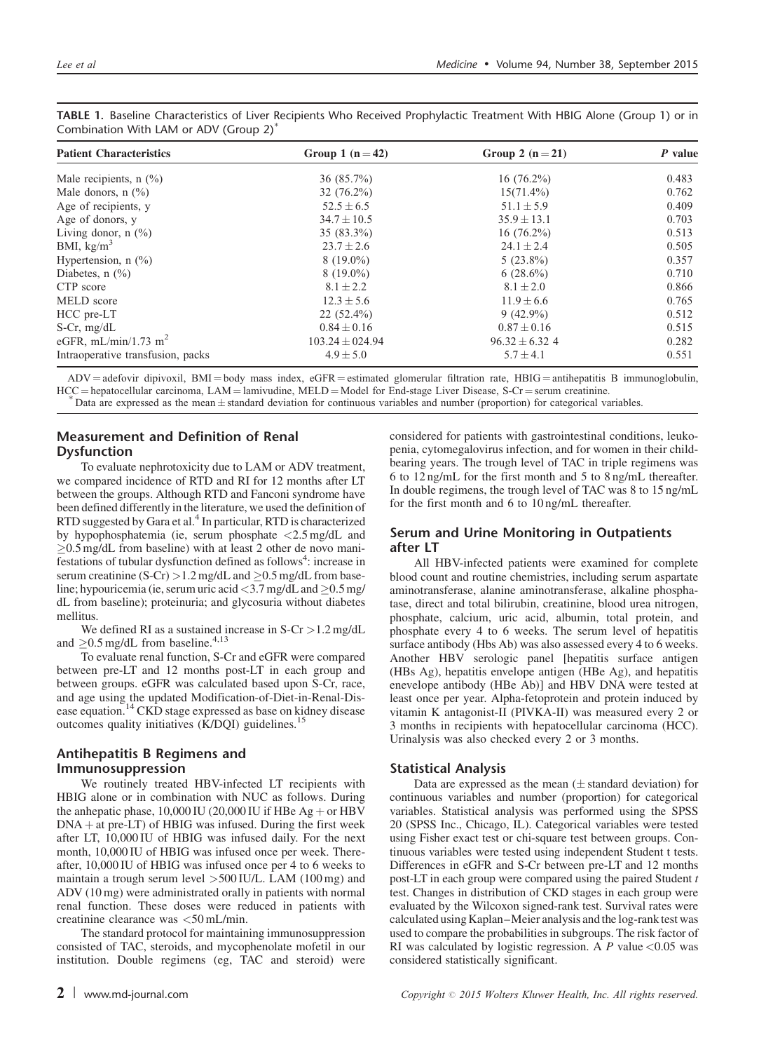| <b>Patient Characteristics</b>               | Group 1 $(n=42)$    | Group 2 $(n=21)$   | P value |  |
|----------------------------------------------|---------------------|--------------------|---------|--|
| Male recipients, $n$ $(\%)$                  | $36(85.7\%)$        | $16(76.2\%)$       | 0.483   |  |
| Male donors, $n$ (%)                         | $32(76.2\%)$        | $15(71.4\%)$       | 0.762   |  |
| Age of recipients, y                         | $52.5 \pm 6.5$      | $51.1 \pm 5.9$     | 0.409   |  |
| Age of donors, y                             | $34.7 \pm 10.5$     | $35.9 \pm 13.1$    | 0.703   |  |
| Living donor, $n$ $\left(\frac{0}{0}\right)$ | $35(83.3\%)$        | $16(76.2\%)$       | 0.513   |  |
| BMI, $\text{kg/m}^3$                         | $23.7 \pm 2.6$      | $24.1 \pm 2.4$     | 0.505   |  |
| Hypertension, $n$ $(\%)$                     | $8(19.0\%)$         | $5(23.8\%)$        | 0.357   |  |
| Diabetes, $n$ $(\%)$                         | $8(19.0\%)$         | $6(28.6\%)$        | 0.710   |  |
| CTP score                                    | $8.1 \pm 2.2$       | $8.1 \pm 2.0$      | 0.866   |  |
| MELD score                                   | $12.3 \pm 5.6$      | $11.9 \pm 6.6$     | 0.765   |  |
| HCC pre-LT                                   | $22(52.4\%)$        | $9(42.9\%)$        | 0.512   |  |
| $S-Cr$ , mg/dL                               | $0.84 \pm 0.16$     | $0.87 \pm 0.16$    | 0.515   |  |
| eGFR, mL/min/1.73 m <sup>2</sup>             | $103.24 \pm 024.94$ | $96.32 \pm 6.32$ 4 | 0.282   |  |
| Intraoperative transfusion, packs            | $4.9 \pm 5.0$       | $5.7 \pm 4.1$      | 0.551   |  |

<span id="page-1-0"></span>TABLE 1. Baseline Characteristics of Liver Recipients Who Received Prophylactic Treatment With HBIG Alone (Group 1) or in Combination With LAM or ADV (Group 2)

 $ADV = \text{adefovir dipivoxil, BMI} = \text{body mass index, eGFR} = \text{estimated glomerular filtration rate, HBIG} = \text{antihepatitis B immunoglobulin,}$  $HCC = \text{hepatocellular carcinoma}, \text{LAM} = \text{lamivudine}, \text{MELD} = \text{Model for End-stage Liver Disease}, \text{S-Cr} = \text{serum creationine}.$ <br> *Nata are expressed as the mean*  $\pm$  standard deviation for continuous variables and number (proportion) for categorical variables.

# Measurement and Definition of Renal Dysfunction

To evaluate nephrotoxicity due to LAM or ADV treatment, we compared incidence of RTD and RI for 12 months after LT between the groups. Although RTD and Fanconi syndrome have been defined differently in the literature, we used the definition of RTD suggested by Gara et al.<sup>4</sup> In particular, RTD is characterized by hypophosphatemia (ie, serum phosphate <2.5 mg/dL and  $\geq$ 0.5 mg/dL from baseline) with at least 2 other de novo mani $f$ estations of tubular dysfunction defined as follows<sup>[4](#page-4-0)</sup>: increase in serum creatinine  $(S-Cr) > 1.2$  mg/dL and  $\geq 0.5$  mg/dL from baseline; hypouricemia (ie, serum uric acid  $\langle 3.7 \text{ mg/dL} \rangle$  and  $\geq 0.5 \text{ mg/dL}$ dL from baseline); proteinuria; and glycosuria without diabetes mellitus.

We defined RI as a sustained increase in  $S-Cr > 1.2$  mg/dL and  $\geq$ 0.5 mg/dL from baseline.<sup>[4,13](#page-4-0)</sup>

To evaluate renal function, S-Cr and eGFR were compared between pre-LT and 12 months post-LT in each group and between groups. eGFR was calculated based upon S-Cr, race, and age using the updated Modification-of-Diet-in-Renal-Disease equation[.14](#page-4-0) CKD stage expressed as base on kidney disease outcomes quality initiatives (K/DQI) guidelines.<sup>[15](#page-4-0)</sup>

## Antihepatitis B Regimens and Immunosuppression

We routinely treated HBV-infected LT recipients with HBIG alone or in combination with NUC as follows. During the anhepatic phase,  $10,000$  IU (20,000 IU if HBe Ag + or HBV  $DNA + at pre-LT$ ) of HBIG was infused. During the first week after LT, 10,000 IU of HBIG was infused daily. For the next month, 10,000 IU of HBIG was infused once per week. Thereafter, 10,000 IU of HBIG was infused once per 4 to 6 weeks to maintain a trough serum level >500 IU/L. LAM (100 mg) and ADV (10 mg) were administrated orally in patients with normal renal function. These doses were reduced in patients with creatinine clearance was <50 mL/min.

The standard protocol for maintaining immunosuppression consisted of TAC, steroids, and mycophenolate mofetil in our institution. Double regimens (eg, TAC and steroid) were considered for patients with gastrointestinal conditions, leukopenia, cytomegalovirus infection, and for women in their childbearing years. The trough level of TAC in triple regimens was 6 to 12 ng/mL for the first month and 5 to 8 ng/mL thereafter. In double regimens, the trough level of TAC was 8 to 15 ng/mL for the first month and 6 to 10 ng/mL thereafter.

## Serum and Urine Monitoring in Outpatients after LT

All HBV-infected patients were examined for complete blood count and routine chemistries, including serum aspartate aminotransferase, alanine aminotransferase, alkaline phosphatase, direct and total bilirubin, creatinine, blood urea nitrogen, phosphate, calcium, uric acid, albumin, total protein, and phosphate every 4 to 6 weeks. The serum level of hepatitis surface antibody (Hbs Ab) was also assessed every 4 to 6 weeks. Another HBV serologic panel [hepatitis surface antigen (HBs Ag), hepatitis envelope antigen (HBe Ag), and hepatitis enevelope antibody (HBe Ab)] and HBV DNA were tested at least once per year. Alpha-fetoprotein and protein induced by vitamin K antagonist-II (PIVKA-II) was measured every 2 or 3 months in recipients with hepatocellular carcinoma (HCC). Urinalysis was also checked every 2 or 3 months.

## Statistical Analysis

Data are expressed as the mean  $(\pm$  standard deviation) for continuous variables and number (proportion) for categorical variables. Statistical analysis was performed using the SPSS 20 (SPSS Inc., Chicago, IL). Categorical variables were tested using Fisher exact test or chi-square test between groups. Continuous variables were tested using independent Student t tests. Differences in eGFR and S-Cr between pre-LT and 12 months post-LT in each group were compared using the paired Student t test. Changes in distribution of CKD stages in each group were evaluated by the Wilcoxon signed-rank test. Survival rates were calculated using Kaplan–Meier analysis and the log-rank test was used to compare the probabilities in subgroups. The risk factor of RI was calculated by logistic regression. A  $P$  value <0.05 was considered statistically significant.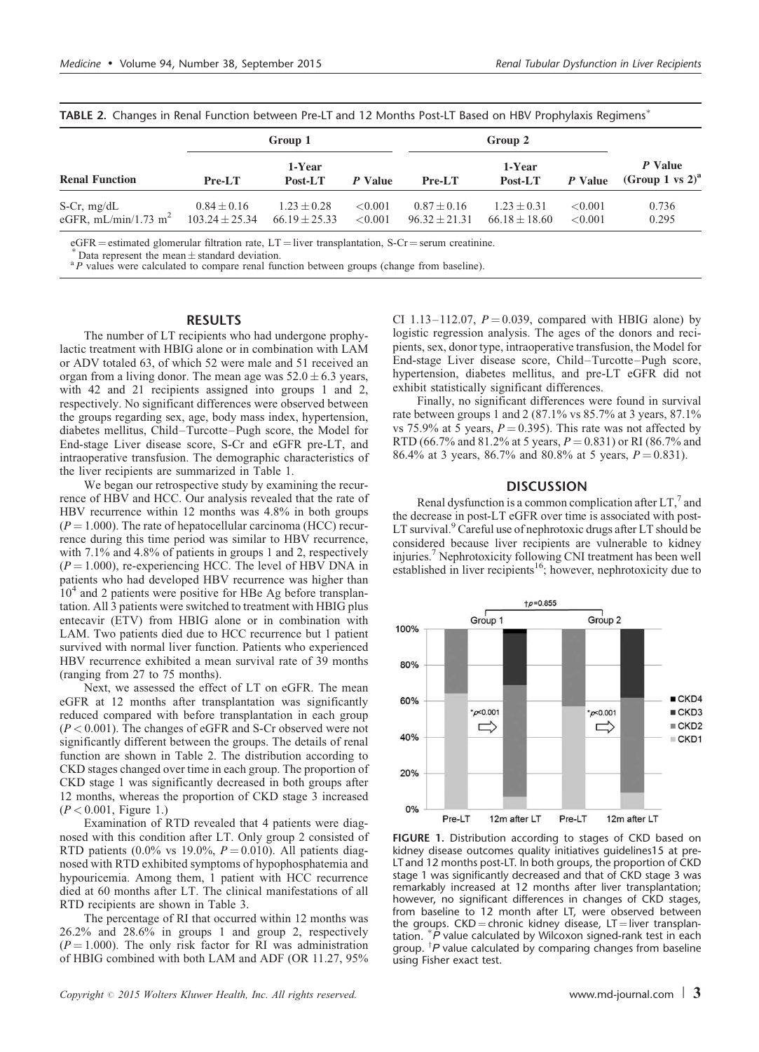| <b>TABLE 2.</b> Changes in Renal Function between Pre-LT and TZ Months Post-LT Based on HBV Prophylaxis Regimens |                                       | Group 1                              |                          |                                    |                                  |                       |                                 |  |
|------------------------------------------------------------------------------------------------------------------|---------------------------------------|--------------------------------------|--------------------------|------------------------------------|----------------------------------|-----------------------|---------------------------------|--|
| <b>Renal Function</b>                                                                                            | $Pre-LT$                              | 1-Year<br>Post-LT                    | P Value                  | $Pre-LT$                           | 1-Year<br>P Value<br>Post-LT     |                       | P Value<br>(Group 1 vs $2)^a$ ) |  |
| S-Cr, $mg/dL$<br>eGFR, mL/min/1.73 m <sup>2</sup>                                                                | $0.84 \pm 0.16$<br>$103.24 \pm 25.34$ | $1.23 \pm 0.28$<br>$66.19 \pm 25.33$ | ${<}0.001$<br>${<}0.001$ | $0.87 + 0.16$<br>$96.32 \pm 21.31$ | $1.23 + 0.31$<br>$66.18 + 18.60$ | ${<}0.001$<br>< 0.001 | 0.736<br>0.295                  |  |

<span id="page-2-0"></span>TABLE 2. Changes in Renal Function between Pre-LT and 12 Months Post-LT Based on HBV Prophylaxis Regimens<sup>\*</sup>

eGFR = estimated glomerular filtration rate, LT = liver transplantation, S-Cr = serum creatinine.<br>\* Data represent the mean  $\pm$  standard deviation.<br>\* P values were calculated to compare renal function between groups (cha

### **RESULTS**

The number of LT recipients who had undergone prophylactic treatment with HBIG alone or in combination with LAM or ADV totaled 63, of which 52 were male and 51 received an organ from a living donor. The mean age was  $52.0 \pm 6.3$  years, with 42 and 21 recipients assigned into groups 1 and 2, respectively. No significant differences were observed between the groups regarding sex, age, body mass index, hypertension, diabetes mellitus, Child–Turcotte–Pugh score, the Model for End-stage Liver disease score, S-Cr and eGFR pre-LT, and intraoperative transfusion. The demographic characteristics of the liver recipients are summarized in [Table 1](#page-1-0).

We began our retrospective study by examining the recurrence of HBV and HCC. Our analysis revealed that the rate of HBV recurrence within 12 months was 4.8% in both groups  $(P = 1.000)$ . The rate of hepatocellular carcinoma (HCC) recurrence during this time period was similar to HBV recurrence, with 7.1% and 4.8% of patients in groups 1 and 2, respectively  $(P = 1.000)$ , re-experiencing HCC. The level of HBV DNA in patients who had developed HBV recurrence was higher than  $10<sup>4</sup>$  and 2 patients were positive for HBe Ag before transplantation. All 3 patients were switched to treatment with HBIG plus entecavir (ETV) from HBIG alone or in combination with LAM. Two patients died due to HCC recurrence but 1 patient survived with normal liver function. Patients who experienced HBV recurrence exhibited a mean survival rate of 39 months (ranging from 27 to 75 months).

Next, we assessed the effect of LT on eGFR. The mean eGFR at 12 months after transplantation was significantly reduced compared with before transplantation in each group  $(P < 0.001)$ . The changes of eGFR and S-Cr observed were not significantly different between the groups. The details of renal function are shown in Table 2. The distribution according to CKD stages changed over time in each group. The proportion of CKD stage 1 was significantly decreased in both groups after 12 months, whereas the proportion of CKD stage 3 increased  $(P < 0.001$ , Figure 1.)

Examination of RTD revealed that 4 patients were diagnosed with this condition after LT. Only group 2 consisted of RTD patients (0.0% vs 19.0%,  $P = 0.010$ ). All patients diagnosed with RTD exhibited symptoms of hypophosphatemia and hypouricemia. Among them, 1 patient with HCC recurrence died at 60 months after LT. The clinical manifestations of all RTD recipients are shown in [Table 3](#page-3-0).

The percentage of RI that occurred within 12 months was 26.2% and 28.6% in groups 1 and group 2, respectively  $(P = 1.000)$ . The only risk factor for RI was administration of HBIG combined with both LAM and ADF (OR 11.27, 95% CI 1.13–112.07,  $P = 0.039$ , compared with HBIG alone) by logistic regression analysis. The ages of the donors and recipients, sex, donor type, intraoperative transfusion, the Model for End-stage Liver disease score, Child–Turcotte–Pugh score, hypertension, diabetes mellitus, and pre-LT eGFR did not exhibit statistically significant differences.

Finally, no significant differences were found in survival rate between groups 1 and 2 (87.1% vs 85.7% at 3 years, 87.1% vs 75.9% at 5 years,  $P = 0.395$ ). This rate was not affected by RTD (66.7% and 81.2% at 5 years,  $P = 0.831$ ) or RI (86.7% and 86.4% at 3 years, 86.7% and 80.8% at 5 years,  $P = 0.831$ ).

#### **DISCUSSION**

Renal dysfunction is a common complication after  $LT$ ,<sup>7</sup> and the decrease in post-LT eGFR over time is associated with post-LT survival.<sup>9</sup> Careful use of nephrotoxic drugs after LT should be considered because liver recipients are vulnerable to kidney injuries.<sup>[7](#page-4-0)</sup> Nephrotoxicity following CNI treatment has been well established in liver recipients<sup>16</sup>; however, nephrotoxicity due to



FIGURE 1. Distribution according to stages of CKD based on kidney disease outcomes quality initiatives guidelines15 at pre-LT and 12 months post-LT. In both groups, the proportion of CKD stage 1 was significantly decreased and that of CKD stage 3 was remarkably increased at 12 months after liver transplantation; however, no significant differences in changes of CKD stages, from baseline to 12 month after LT, were observed between the groups.  $CKD =$ chronic kidney disease,  $LT =$ liver transplantation. P value calculated by Wilcoxon signed-rank test in each group.  ${}^{\dagger}P$  value calculated by comparing changes from baseline using Fisher exact test.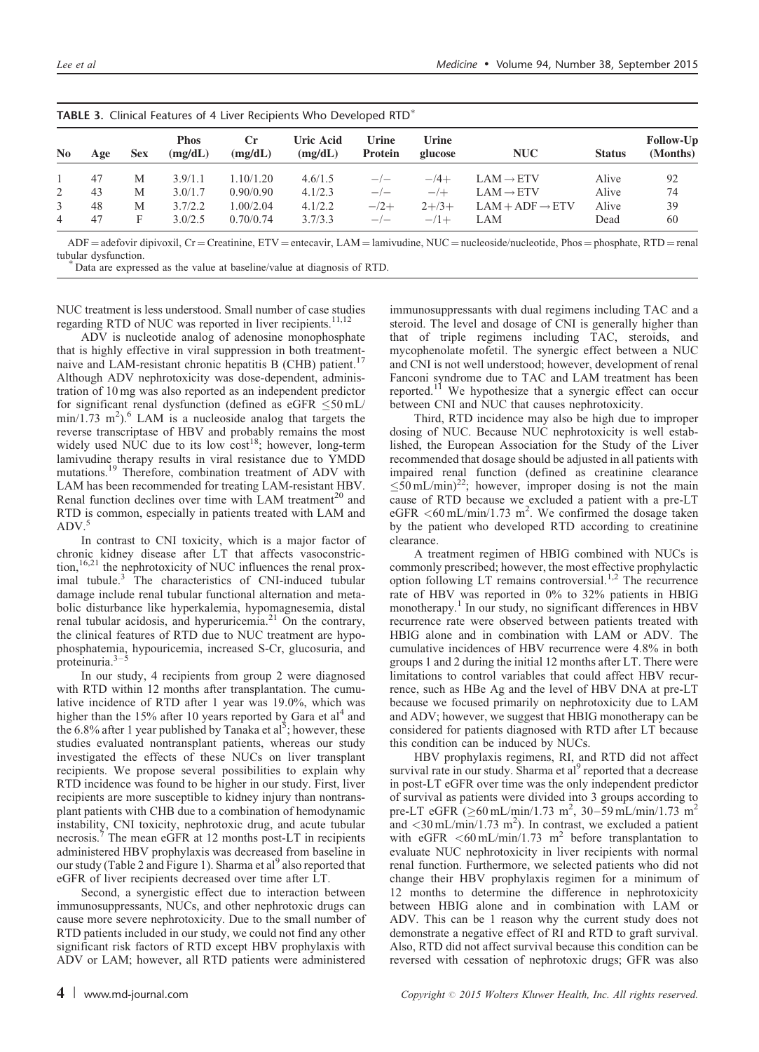|                | <b>TABLE 3.</b> Clinical Features of 4 Liver Recipients Who Developed RTD |            |                        |               |                      |                         |                  |                             |               |                       |
|----------------|---------------------------------------------------------------------------|------------|------------------------|---------------|----------------------|-------------------------|------------------|-----------------------------|---------------|-----------------------|
| N <sub>0</sub> | Age                                                                       | <b>Sex</b> | <b>Phos</b><br>(mg/dL) | Сr<br>(mg/dL) | Uric Acid<br>(mg/dL) | Urine<br><b>Protein</b> | Urine<br>glucose | <b>NUC</b>                  | <b>Status</b> | Follow-Up<br>(Months) |
|                | 47                                                                        | M          | 3.9/1.1                | 1.10/1.20     | 4.6/1.5              | $-\prime -$             | $-4+$            | $LAM \rightarrow ETV$       | Alive         | 92                    |
| 2              | 43                                                                        | M          | 3.0/1.7                | 0.90/0.90     | 4.1/2.3              | $-\prime -$             | $-/+$            | $LAM \rightarrow ETV$       | Alive         | 74                    |
| 3              | 48                                                                        | M          | 3.7/2.2                | 1.00/2.04     | 4.1/2.2              | $-2$ +                  | $2 + 3 +$        | $LAM + ADF \rightarrow ETV$ | Alive         | 39                    |
| 4              | 47                                                                        | F          | 3.0/2.5                | 0.70/0.74     | 3.7/3.3              | $-/-$                   | $-11$            | LAM                         | Dead          | 60                    |

<span id="page-3-0"></span>

| <b>TABLE 3.</b> Clinical Features of 4 Liver Recipients Who Developed $RTD^*$ |  |
|-------------------------------------------------------------------------------|--|
|-------------------------------------------------------------------------------|--|

 $ADF = adefovir dipivoxil, Cr = Creative, ETV = entecavir, LAM = laminivaline, NUC = nucleoside/nucleotide, Phos = phosphate, RTD = renal tubular dysfunction.$ 

Data are expressed as the value at baseline/value at diagnosis of RTD.

NUC treatment is less understood. Small number of case studies regarding RTD of NUC was reported in liver recipients.<sup>11,12</sup>

ADV is nucleotide analog of adenosine monophosphate that is highly effective in viral suppression in both treatment-naive and LAM-resistant chronic hepatitis B (CHB) patient.<sup>[17](#page-4-0)</sup> Although ADV nephrotoxicity was dose-dependent, administration of 10 mg was also reported as an independent predictor for significant renal dysfunction (defined as  $e$ GFR  $\leq$ 50 mL/  $\min/1.73 \text{ m}^2$ .<sup>6</sup> LAM is a nucleoside analog that targets the reverse transcriptase of HBV and probably remains the most widely used NUC due to its low  $cost^{18}$  $cost^{18}$  $cost^{18}$ ; however, long-term lamivudine therapy results in viral resistance due to YMDD mutations.<sup>19</sup> Therefore, combination treatment of ADV with LAM has been recommended for treating LAM-resistant HBV. Renal function declines over time with LAM treatment<sup>[20](#page-4-0)</sup> and RTD is common, especially in patients treated with LAM and  $ADV.$ 

In contrast to CNI toxicity, which is a major factor of chronic kidney disease after LT that affects vasoconstriction,<sup>16,21</sup> the nephrotoxicity of NUC influences the renal proximal tubule.[3](#page-4-0) The characteristics of CNI-induced tubular damage include renal tubular functional alternation and metabolic disturbance like hyperkalemia, hypomagnesemia, distal renal tubular acidosis, and hyperuricemia.<sup>[21](#page-4-0)</sup> On the contrary, the clinical features of RTD due to NUC treatment are hypophosphatemia, hypouricemia, increased S-Cr, glucosuria, and proteinuria.<sup>3–</sup>

In our study, 4 recipients from group 2 were diagnosed with RTD within 12 months after transplantation. The cumulative incidence of RTD after 1 year was 19.0%, which was higher than the  $15\%$  after 10 years reported by Gara et al<sup>4</sup> and the 6.8% after 1 year published by Tanaka et al<sup>[5](#page-4-0)</sup>; however, these studies evaluated nontransplant patients, whereas our study investigated the effects of these NUCs on liver transplant recipients. We propose several possibilities to explain why RTD incidence was found to be higher in our study. First, liver recipients are more susceptible to kidney injury than nontransplant patients with CHB due to a combination of hemodynamic instability, CNI toxicity, nephrotoxic drug, and acute tubular necrosis.[7](#page-4-0) The mean eGFR at 12 months post-LT in recipients administered HBV prophylaxis was decreased from baseline in our study [\(Table 2](#page-2-0) and [Figure 1\)](#page-2-0). Sharma et al<sup>[9](#page-4-0)</sup> also reported that eGFR of liver recipients decreased over time after LT.

Second, a synergistic effect due to interaction between immunosuppressants, NUCs, and other nephrotoxic drugs can cause more severe nephrotoxicity. Due to the small number of RTD patients included in our study, we could not find any other significant risk factors of RTD except HBV prophylaxis with ADV or LAM; however, all RTD patients were administered immunosuppressants with dual regimens including TAC and a steroid. The level and dosage of CNI is generally higher than that of triple regimens including TAC, steroids, and mycophenolate mofetil. The synergic effect between a NUC and CNI is not well understood; however, development of renal Fanconi syndrome due to TAC and LAM treatment has been reported.<sup>[11](#page-4-0)</sup> We hypothesize that a synergic effect can occur between CNI and NUC that causes nephrotoxicity.

Third, RTD incidence may also be high due to improper dosing of NUC. Because NUC nephrotoxicity is well established, the European Association for the Study of the Liver recommended that dosage should be adjusted in all patients with impaired renal function (defined as creatinine clearance  $\leq 50$  mL/min)<sup>22</sup>; however, improper dosing is not the main cause of RTD because we excluded a patient with a pre-LT eGFR  $\leq 60$  mL/min/1.73 m<sup>2</sup>. We confirmed the dosage taken by the patient who developed RTD according to creatinine clearance.

A treatment regimen of HBIG combined with NUCs is commonly prescribed; however, the most effective prophylactic option following LT remains controversial.<sup>[1,2](#page-4-0)</sup> The recurrence rate of HBV was reported in 0% to 32% patients in HBIG monotherapy.<sup>[1](#page-4-0)</sup> In our study, no significant differences in HBV recurrence rate were observed between patients treated with HBIG alone and in combination with LAM or ADV. The cumulative incidences of HBV recurrence were 4.8% in both groups 1 and 2 during the initial 12 months after LT. There were limitations to control variables that could affect HBV recurrence, such as HBe Ag and the level of HBV DNA at pre-LT because we focused primarily on nephrotoxicity due to LAM and ADV; however, we suggest that HBIG monotherapy can be considered for patients diagnosed with RTD after LT because this condition can be induced by NUCs.

HBV prophylaxis regimens, RI, and RTD did not affect survival rate in our study. Sharma et al<sup>9</sup> reported that a decrease in post-LT eGFR over time was the only independent predictor of survival as patients were divided into 3 groups according to pre-LT eGFR  $260$  mL/min/1.73 m<sup>2</sup>, 30–59 mL/min/1.73 m<sup>2</sup> and  $\langle 30 \text{ mL/min/1.73 m}^2 \rangle$ . In contrast, we excluded a patient with eGFR  $\lt$  60 mL/min/1.73 m<sup>2</sup> before transplantation to evaluate NUC nephrotoxicity in liver recipients with normal renal function. Furthermore, we selected patients who did not change their HBV prophylaxis regimen for a minimum of 12 months to determine the difference in nephrotoxicity between HBIG alone and in combination with LAM or ADV. This can be 1 reason why the current study does not demonstrate a negative effect of RI and RTD to graft survival. Also, RTD did not affect survival because this condition can be reversed with cessation of nephrotoxic drugs; GFR was also